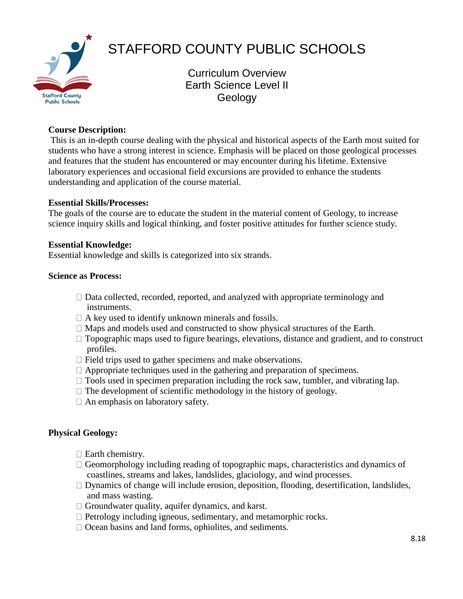

# STAFFORD COUNTY PUBLIC SCHOOLS

Curriculum Overview Earth Science Level II Geology

# **Course Description:**

This is an in-depth course dealing with the physical and historical aspects of the Earth most suited for students who have a strong interest in science. Emphasis will be placed on those geological processes and features that the student has encountered or may encounter during his lifetime. Extensive laboratory experiences and occasional field excursions are provided to enhance the students understanding and application of the course material.

# **Essential Skills/Processes:**

The goals of the course are to educate the student in the material content of Geology, to increase science inquiry skills and logical thinking, and foster positive attitudes for further science study.

#### **Essential Knowledge:**

Essential knowledge and skills is categorized into six strands.

#### **Science as Process:**

- $\Box$  Data collected, recorded, reported, and analyzed with appropriate terminology and instruments.
- $\Box$  A key used to identify unknown minerals and fossils.
- $\Box$  Maps and models used and constructed to show physical structures of the Earth.
- $\Box$  Topographic maps used to figure bearings, elevations, distance and gradient, and to construct profiles.
- $\Box$  Field trips used to gather specimens and make observations.
- $\Box$  Appropriate techniques used in the gathering and preparation of specimens.
- $\Box$  Tools used in specimen preparation including the rock saw, tumbler, and vibrating lap.
- $\Box$  The development of scientific methodology in the history of geology.
- $\Box$  An emphasis on laboratory safety.

# **Physical Geology:**

- $\Box$  Earth chemistry.
- $\Box$  Geomorphology including reading of topographic maps, characteristics and dynamics of coastlines, streams and lakes, landslides, glaciology, and wind processes.
- $\Box$  Dynamics of change will include erosion, deposition, flooding, desertification, landslides, and mass wasting.
- $\Box$  Groundwater quality, aquifer dynamics, and karst.
- $\Box$  Petrology including igneous, sedimentary, and metamorphic rocks.
- $\Box$  Ocean basins and land forms, ophiolites, and sediments.